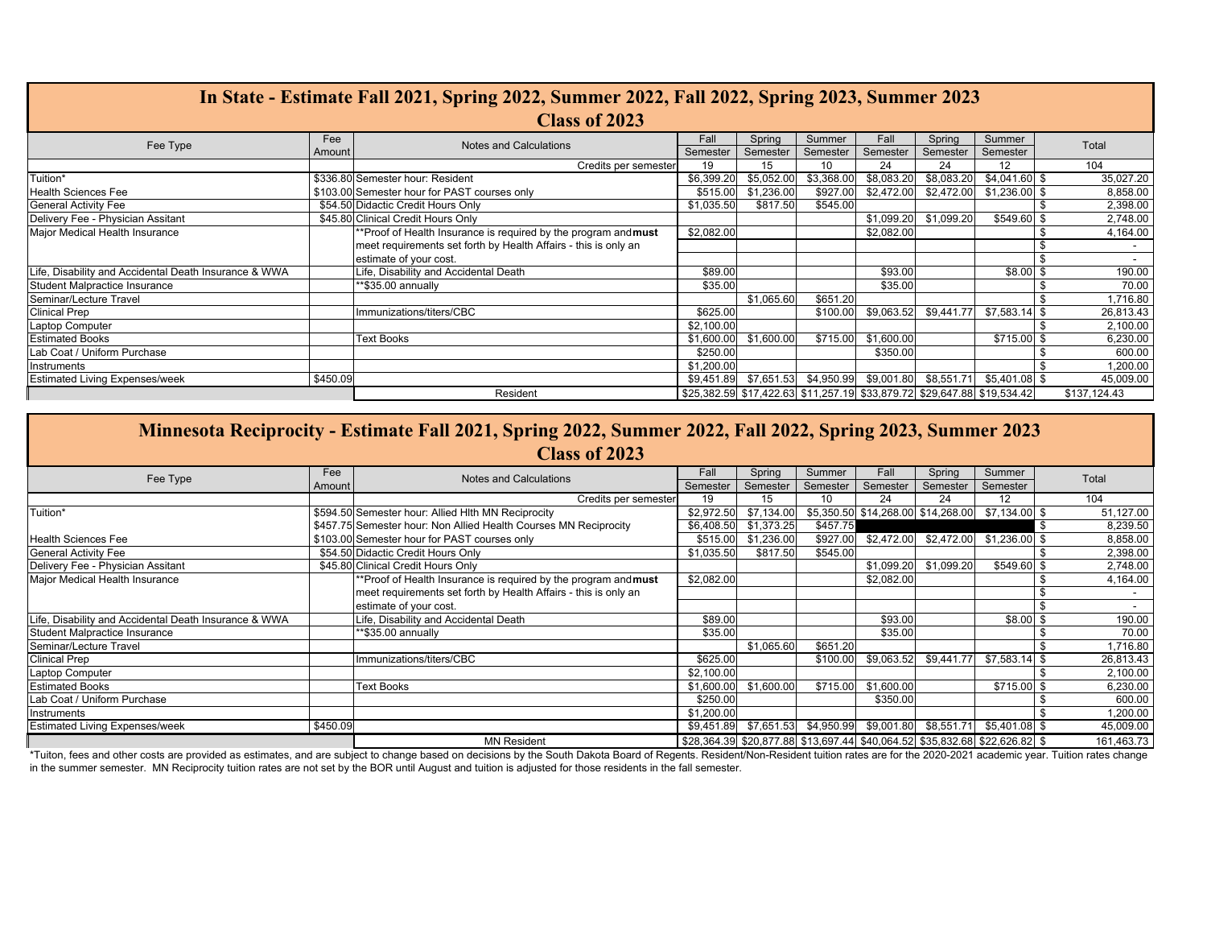| In State - Estimate Fall 2021, Spring 2022, Summer 2022, Fall 2022, Spring 2023, Summer 2023 |          |                                                                 |            |            |                                                                         |            |            |                |              |        |
|----------------------------------------------------------------------------------------------|----------|-----------------------------------------------------------------|------------|------------|-------------------------------------------------------------------------|------------|------------|----------------|--------------|--------|
| <b>Class of 2023</b>                                                                         |          |                                                                 |            |            |                                                                         |            |            |                |              |        |
| Fee Type                                                                                     | Fee      | <b>Notes and Calculations</b>                                   | Fall       | Spring     | Summer                                                                  | Fall       | Spring     | Summer         | Total        |        |
|                                                                                              | Amount   |                                                                 | Semester   | Semester   | Semester                                                                | Semester   | Semester   | Semester       |              |        |
|                                                                                              |          | Credits per semester                                            | 19         | 15         | 10                                                                      | 24         | 24         | 12             | 104          |        |
| Tuition*                                                                                     |          | \$336.80 Semester hour: Resident                                | \$6,399.20 | \$5,052.00 | \$3,368.00                                                              | \$8,083.20 | \$8,083.20 | $$4,041.60$ \$ | 35,027.20    |        |
| <b>Health Sciences Fee</b>                                                                   |          | \$103.00 Semester hour for PAST courses only                    | \$515.00   | \$1,236.00 | \$927.00                                                                | \$2,472.00 | \$2,472.00 | $$1,236.00$ \$ | 8,858.00     |        |
| <b>General Activity Fee</b>                                                                  |          | \$54.50 Didactic Credit Hours Only                              | \$1,035.50 | \$817.50   | \$545.00                                                                |            |            |                | 2,398.00     |        |
| Delivery Fee - Physician Assitant                                                            |          | \$45.80 Clinical Credit Hours Only                              |            |            |                                                                         | \$1,099.20 | \$1,099.20 | \$549.60 \$    | 2,748.00     |        |
| Major Medical Health Insurance                                                               |          | **Proof of Health Insurance is required by the program and must | \$2,082.00 |            |                                                                         | \$2,082.00 |            |                | 4,164.00     |        |
|                                                                                              |          | meet requirements set forth by Health Affairs - this is only an |            |            |                                                                         |            |            |                |              | $\sim$ |
|                                                                                              |          | estimate of your cost.                                          |            |            |                                                                         |            |            |                |              |        |
| Life, Disability and Accidental Death Insurance & WWA                                        |          | Life, Disability and Accidental Death                           | \$89.00    |            |                                                                         | \$93.00    |            | $$8.00$$ \$    |              | 190.00 |
| Student Malpractice Insurance                                                                |          | **\$35.00 annually                                              | \$35.00    |            |                                                                         | \$35.00    |            |                |              | 70.00  |
| Seminar/Lecture Travel                                                                       |          |                                                                 |            | \$1,065.60 | \$651.20                                                                |            |            |                | 1,716.80     |        |
| <b>Clinical Prep</b>                                                                         |          | Immunizations/titers/CBC                                        | \$625.00   |            | \$100.00                                                                | \$9,063.52 | \$9,441.77 | $$7,583.14$ \$ | 26,813.43    |        |
| <b>Laptop Computer</b>                                                                       |          |                                                                 | \$2,100.00 |            |                                                                         |            |            |                | 2,100.00     |        |
| <b>Estimated Books</b>                                                                       |          | <b>Text Books</b>                                               | \$1,600.00 | \$1,600.00 | \$715.00                                                                | \$1,600.00 |            | \$715.00 \$    | 6,230.00     |        |
| Lab Coat / Uniform Purchase                                                                  |          |                                                                 | \$250.00   |            |                                                                         | \$350.00   |            |                |              | 600.00 |
| Instruments                                                                                  |          |                                                                 | \$1,200.00 |            |                                                                         |            |            |                | 1,200.00     |        |
| <b>Estimated Living Expenses/week</b>                                                        | \$450.09 |                                                                 |            |            | \$9,451.89 \$7,651.53 \$4,950.99 \$9,001.80 \$8,551.71                  |            |            | $$5,401.08$ \$ | 45,009.00    |        |
|                                                                                              |          | Resident                                                        |            |            | \$25,382.59 \$17,422.63 \$11,257.19 \$33,879.72 \$29,647.88 \$19,534.42 |            |            |                | \$137.124.43 |        |

| Minnesota Reciprocity - Estimate Fall 2021, Spring 2022, Summer 2022, Fall 2022, Spring 2023, Summer 2023 |          |                                                                  |            |            |          |            |            |                                                                            |      |            |
|-----------------------------------------------------------------------------------------------------------|----------|------------------------------------------------------------------|------------|------------|----------|------------|------------|----------------------------------------------------------------------------|------|------------|
| Class of 2023                                                                                             |          |                                                                  |            |            |          |            |            |                                                                            |      |            |
| Fee Type                                                                                                  | Fee      | Notes and Calculations                                           | Fall       | Spring     | Summer   | Fall       | Spring     | Summer                                                                     |      | Total      |
|                                                                                                           | Amount   |                                                                  | Semester   | Semester   | Semester | Semester   | Semester   | Semester                                                                   |      |            |
|                                                                                                           |          | Credits per semester                                             | 19         | 15         | 10       | 24         | 24         | 12                                                                         |      | 104        |
| Tuition*                                                                                                  |          | \$594.50 Semester hour: Allied Hlth MN Reciprocity               | \$2,972.50 | \$7,134.00 |          |            |            | \$5,350.50 \$14,268.00 \$14,268.00 \$7,134.00 \$                           |      | 51,127.00  |
|                                                                                                           |          | \$457.75 Semester hour: Non Allied Health Courses MN Reciprocity | \$6,408.50 | \$1,373.25 | \$457.75 |            |            |                                                                            | - \$ | 8,239.50   |
| <b>Health Sciences Fee</b>                                                                                |          | \$103.00 Semester hour for PAST courses only                     | \$515.00   | \$1,236.00 | \$927.00 | \$2,472.00 |            | \$2,472.00 \$1,236.00 \$                                                   |      | 8,858.00   |
| <b>General Activity Fee</b>                                                                               |          | \$54.50 Didactic Credit Hours Only                               | \$1,035.50 | \$817.50   | \$545.00 |            |            |                                                                            |      | 2,398.00   |
| Delivery Fee - Physician Assitant                                                                         |          | \$45.80 Clinical Credit Hours Only                               |            |            |          | \$1,099.20 | \$1,099.20 | \$549.60                                                                   |      | 2,748.00   |
| Major Medical Health Insurance                                                                            |          | **Proof of Health Insurance is required by the program and must  | \$2,082.00 |            |          | \$2,082.00 |            |                                                                            |      | 4,164.00   |
|                                                                                                           |          | meet requirements set forth by Health Affairs - this is only an  |            |            |          |            |            |                                                                            |      |            |
|                                                                                                           |          | estimate of your cost.                                           |            |            |          |            |            |                                                                            |      | $\sim$     |
| Life, Disability and Accidental Death Insurance & WWA                                                     |          | Life, Disability and Accidental Death                            | \$89.00    |            |          | \$93.00    |            | \$8.00                                                                     |      | 190.00     |
| Student Malpractice Insurance                                                                             |          | **\$35.00 annually                                               | \$35.00    |            |          | \$35.00    |            |                                                                            |      | 70.00      |
| Seminar/Lecture Travel                                                                                    |          |                                                                  |            | \$1,065.60 | \$651.20 |            |            |                                                                            |      | 1,716.80   |
| <b>Clinical Prep</b>                                                                                      |          | Immunizations/titers/CBC                                         | \$625.00   |            | \$100.00 | \$9,063.52 | \$9,441.77 | \$7,583.14                                                                 |      | 26,813.43  |
| Laptop Computer                                                                                           |          |                                                                  | \$2,100.00 |            |          |            |            |                                                                            |      | 2,100.00   |
| <b>Estimated Books</b>                                                                                    |          | <b>Text Books</b>                                                | \$1,600.00 | \$1,600.00 | \$715.00 | \$1,600.00 |            | \$715.00                                                                   |      | 6,230.00   |
| Lab Coat / Uniform Purchase                                                                               |          |                                                                  | \$250.00   |            |          | \$350.00   |            |                                                                            |      | 600.00     |
| Instruments                                                                                               |          |                                                                  | \$1,200.00 |            |          |            |            |                                                                            |      | 1,200.00   |
| <b>Estimated Living Expenses/week</b>                                                                     | \$450.09 |                                                                  |            |            |          |            |            | \$9,451.89 \$7,651.53 \$4,950.99 \$9,001.80 \$8,551.71 \$5,401.08 \$       |      | 45,009.00  |
|                                                                                                           |          | <b>MN Resident</b>                                               |            |            |          |            |            | \$28,364.39 \$20,877.88 \$13,697.44 \$40,064.52 \$35,832.68 \$22,626.82 \$ |      | 161,463.73 |

\*Tuiton, fees and other costs are provided as estimates, and are subject to change based on decisions by the South Dakota Board of Regents. Resident/Non-Resident fuition rates are for the 2020-2021 academic year. Tuition r in the summer semester. MN Reciprocity tuition rates are not set by the BOR until August and tuition is adjusted for those residents in the fall semester.